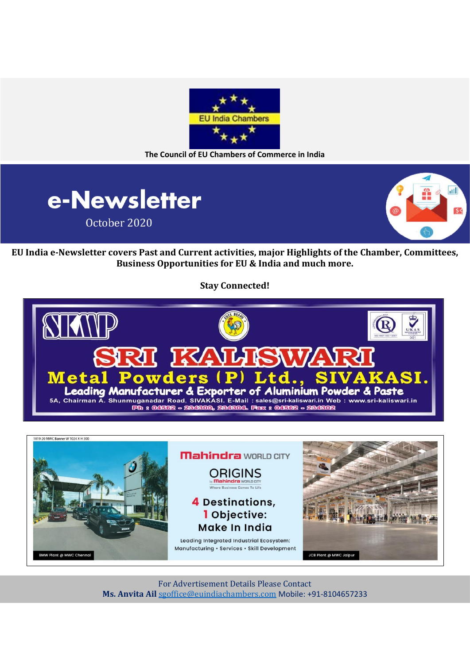

**The Council of EU Chambers of Commerce in India**





**EU India e-Newsletter covers Past and Current activities, major Highlights of the Chamber, Committees, Business Opportunities for EU & India and much more.**

**Stay Connected!**





For Advertisement Details Please Contact **Ms. Anvita Ail** [sgoffice@euindiachambers.com](mailto:sgoffice@euindiachambers.com) Mobile: +91-8104657233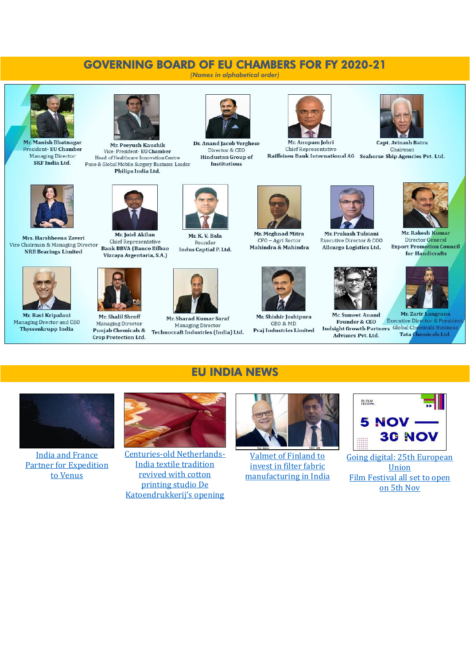# GOVERNING BOARD OF EU CHAMBERS FOR FY 2020-21

*(Names in alphabetical order)*



Mr. Manish Bhatnagar President- EU Chamber Managing Director SKE India Ltd.



Mr. Peeyush Kaushik Vice-President- EU Chamber Head of Healthcare Innovation Centre Pune & Global Mobile Surgery Business Leader Philips India Ltd.



Dr. Anand Jacob Verghese Director & CEO **Hindustan Group of** Institutions



Mr. Anupam Johri Chief Representative Raiffeisen Bank International AG Seahorse Ship Agencies Pvt. Ltd.



**Capt. Avinash Batra** Chairman



Mrs. Harshbeena Zaveri Vice Chairman & Managing Director **NRB** Bearings Limited



Mr. Ravi Kripalani Managing Drector and CEO Thyssenkrupp India



Mr. Joiel Akilan Chief Representative Bank BBVA (Banco Bilbao Vizcaya Argentaria, S.A.)



Mr. Shalil Shroff Managing Director Punjab Chemicals & **Crop Protection Ltd.** 



Founder Indus Captial P. Ltd.



Mr. Sharad Kumar Saraf Managing Director Technocraft Industries (India) Ltd.

EU INDIA NEWS



Mr. Meghnad Mitra CFO - Agri Sector Mahindra & Mahindra



Mr. Shishir Joshipura CEO & MD Praj Industries Limited



Mr Prakash Tulsiani Executive Director & COO Allcargo Logistics Ltd.



**Founder & CEO** 



Mr. Rakesh Kumar Director General **Export Promotion Council** for Handicrafts





Mr. Zarir L angrana **Executive Director & President** Indsight Growth Partners Global Chemicals Business Tata Chemicals Ltd. **Advisors Pyt Ltd** 



[India and France](https://euindiachambers.com/india-and-france-partner-for-expedition-to-venus/)  [Partner for Expedition](https://euindiachambers.com/india-and-france-partner-for-expedition-to-venus/)  [to Venus](https://euindiachambers.com/india-and-france-partner-for-expedition-to-venus/)



[Centuries-old Netherlands-](https://euindiachambers.com/centuries-old-netherlands-india-textile-tradition-revived-with-cotton-printing-studio-de-katoendrukkerijs-opening/)[India textile tradition](https://euindiachambers.com/centuries-old-netherlands-india-textile-tradition-revived-with-cotton-printing-studio-de-katoendrukkerijs-opening/)  [revived with cotton](https://euindiachambers.com/centuries-old-netherlands-india-textile-tradition-revived-with-cotton-printing-studio-de-katoendrukkerijs-opening/)  [printing studio De](https://euindiachambers.com/centuries-old-netherlands-india-textile-tradition-revived-with-cotton-printing-studio-de-katoendrukkerijs-opening/)  Katoendruk[kerij's opening](https://euindiachambers.com/centuries-old-netherlands-india-textile-tradition-revived-with-cotton-printing-studio-de-katoendrukkerijs-opening/)



[Valmet of Finland to](https://euindiachambers.com/valmet-of-finland-to-invest-in-filter-fabric-manufacturing-in-india/)  [invest in filter fabric](https://euindiachambers.com/valmet-of-finland-to-invest-in-filter-fabric-manufacturing-in-india/)  [manufacturing in India](https://euindiachambers.com/valmet-of-finland-to-invest-in-filter-fabric-manufacturing-in-india/)



[Going digital: 25th European](https://euindiachambers.com/going-digital-25th-european-union-film-festival-all-set-to-open-on-5th-nov/)  [Union](https://euindiachambers.com/going-digital-25th-european-union-film-festival-all-set-to-open-on-5th-nov/) [Film Festival all set to open](https://euindiachambers.com/going-digital-25th-european-union-film-festival-all-set-to-open-on-5th-nov/)  [on 5th Nov](https://euindiachambers.com/going-digital-25th-european-union-film-festival-all-set-to-open-on-5th-nov/)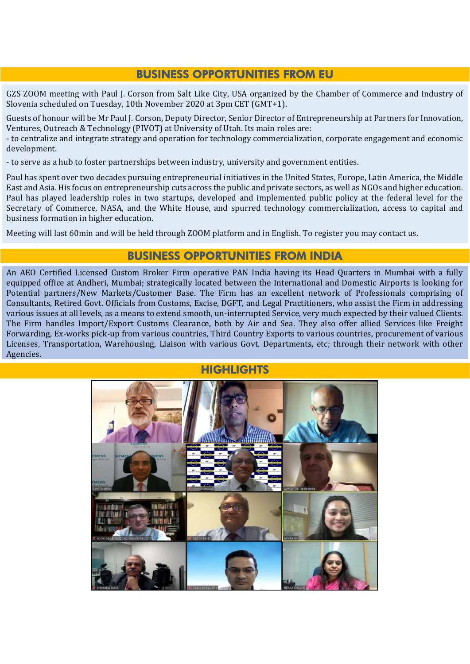### BUSINESS OPPORTUNITIES FROM EU

GZS ZOOM meeting with Paul J. Corson from Salt Like City, USA organized by the Chamber of Commerce and Industry of Slovenia scheduled on Tuesday, 10th November 2020 at 3pm CET (GMT+1).

Guests of honour will be Mr Paul J. Corson, Deputy Director, Senior Director of Entrepreneurship at Partners for Innovation, Ventures, Outreach & Technology (PIVOT) at University of Utah. Its main roles are:

- to centralize and integrate strategy and operation for technology commercialization, corporate engagement and economic development.

- to serve as a hub to foster partnerships between industry, university and government entities.

Paul has spent over two decades pursuing entrepreneurial initiatives in the United States, Europe, Latin America, the Middle East and Asia. His focus on entrepreneurship cuts across the public and private sectors, as well as NGOs and higher education. Paul has played leadership roles in two startups, developed and implemented public policy at the federal level for the Secretary of Commerce, NASA, and the White House, and spurred technology commercialization, access to capital and business formation in higher education.

Meeting will last 60min and will be held through ZOOM platform and in English. To register you may contact us.

### BUSINESS OPPORTUNITIES FROM INDIA

An AEO Certified Licensed Custom Broker Firm operative PAN India having its Head Quarters in Mumbai with a fully equipped office at Andheri, Mumbai; strategically located between the International and Domestic Airports is looking for Potential partners/New Markets/Customer Base. The Firm has an excellent network of Professionals comprising of Consultants, Retired Govt. Officials from Customs, Excise, DGFT, and Legal Practitioners, who assist the Firm in addressing various issues at all levels, as a means to extend smooth, un-interrupted Service, very much expected by their valued Clients. The Firm handles Import/Export Customs Clearance, both by Air and Sea. They also offer allied Services like Freight Forwarding, Ex-works pick-up from various countries, Third Country Exports to various countries, procurement of various Licenses, Transportation, Warehousing, Liaison with various Govt. Departments, etc; through their network with other Agencies.